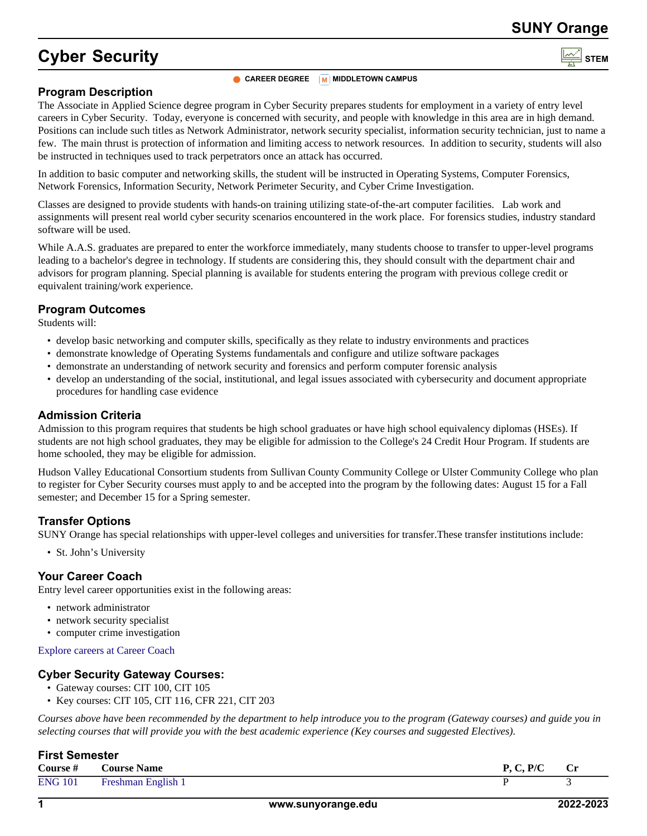### **SUNY Orange**

# **Cyber Security**

#### **CAREER DEGREE M MIDDLETOWN** CAMPUS

#### **Program Description**

The Associate in Applied Science degree program in Cyber Security prepares students for employment in a variety of entry level careers in Cyber Security. Today, everyone is concerned with security, and people with knowledge in this area are in high demand. Positions can include such titles as Network Administrator, network security specialist, information security technician, just to name a few. The main thrust is protection of information and limiting access to network resources. In addition to security, students will also be instructed in techniques used to track perpetrators once an attack has occurred.

In addition to basic computer and networking skills, the student will be instructed in Operating Systems, Computer Forensics, Network Forensics, Information Security, Network Perimeter Security, and Cyber Crime Investigation.

Classes are designed to provide students with hands-on training utilizing state-of-the-art computer facilities. Lab work and assignments will present real world cyber security scenarios encountered in the work place. For forensics studies, industry standard software will be used.

While A.A.S. graduates are prepared to enter the workforce immediately, many students choose to transfer to upper-level programs leading to a bachelor's degree in technology. If students are considering this, they should consult with the department chair and advisors for program planning. Special planning is available for students entering the program with previous college credit or equivalent training/work experience.

#### **Program Outcomes**

Students will:

- develop basic networking and computer skills, specifically as they relate to industry environments and practices
- demonstrate knowledge of Operating Systems fundamentals and configure and utilize software packages
- demonstrate an understanding of network security and forensics and perform computer forensic analysis
- develop an understanding of the social, institutional, and legal issues associated with cybersecurity and document appropriate procedures for handling case evidence

#### **Admission Criteria**

Admission to this program requires that students be high school graduates or have high school equivalency diplomas (HSEs). If students are not high school graduates, they may be eligible for admission to the College's 24 Credit Hour Program. If students are home schooled, they may be eligible for admission.

Hudson Valley Educational Consortium students from Sullivan County Community College or Ulster Community College who plan to register for Cyber Security courses must apply to and be accepted into the program by the following dates: August 15 for a Fall semester; and December 15 for a Spring semester.

#### **Transfer Options**

SUNY Orange has special relationships with upper-level colleges and universities for transfer.These transfer institutions include:

• St. John's University

#### **Your Career Coach**

Entry level career opportunities exist in the following areas:

- network administrator
- network security specialist
- computer crime investigation

#### [Explore careers at Career Coach](https://sunyorange.emsicc.com/?radius=®ion=Orange%20County%2C%20NY)

#### **Cyber Security Gateway Courses:**

- Gateway courses: CIT 100, CIT 105
- Key courses: CIT 105, CIT 116, CFR 221, CIT 203

*Courses above have been recommended by the department to help introduce you to the program (Gateway courses) and guide you in selecting courses that will provide you with the best academic experience (Key courses and suggested Electives).*

#### **First Semester**

| Course #       | Course Name               | P/C<br>P 1 | $cr$ |
|----------------|---------------------------|------------|------|
| <b>ENG 101</b> | <b>Freshman English 1</b> |            |      |